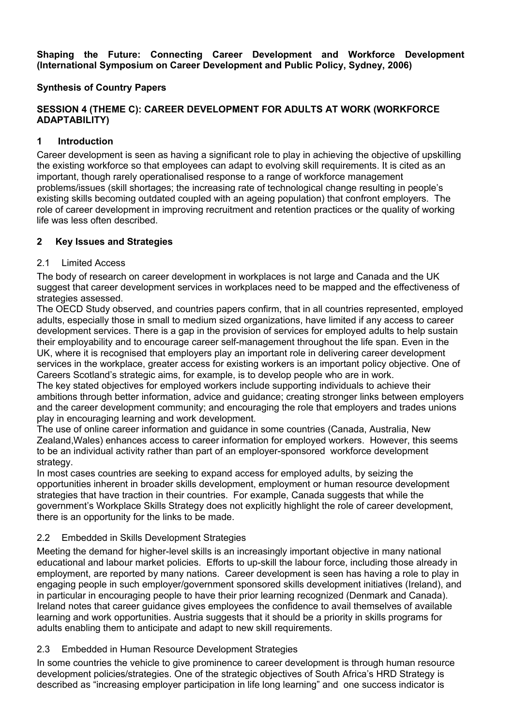**Shaping the Future: Connecting Career Development and Workforce Development (International Symposium on Career Development and Public Policy, Sydney, 2006)**

## **Synthesis of Country Papers**

# **SESSION 4 (THEME C): CAREER DEVELOPMENT FOR ADULTS AT WORK (WORKFORCE ADAPTABILITY)**

### **1 Introduction**

Career development is seen as having a significant role to play in achieving the objective of upskilling the existing workforce so that employees can adapt to evolving skill requirements. It is cited as an important, though rarely operationalised response to a range of workforce management problems/issues (skill shortages; the increasing rate of technological change resulting in people's existing skills becoming outdated coupled with an ageing population) that confront employers. The role of career development in improving recruitment and retention practices or the quality of working life was less often described.

### **2 Key Issues and Strategies**

#### 2.1 Limited Access

The body of research on career development in workplaces is not large and Canada and the UK suggest that career development services in workplaces need to be mapped and the effectiveness of strategies assessed.

The OECD Study observed, and countries papers confirm, that in all countries represented, employed adults, especially those in small to medium sized organizations, have limited if any access to career development services. There is a gap in the provision of services for employed adults to help sustain their employability and to encourage career self-management throughout the life span. Even in the UK, where it is recognised that employers play an important role in delivering career development services in the workplace, greater access for existing workers is an important policy objective. One of Careers Scotland's strategic aims, for example, is to develop people who are in work.

The key stated objectives for employed workers include supporting individuals to achieve their ambitions through better information, advice and guidance; creating stronger links between employers and the career development community; and encouraging the role that employers and trades unions play in encouraging learning and work development.

The use of online career information and guidance in some countries (Canada, Australia, New Zealand,Wales) enhances access to career information for employed workers. However, this seems to be an individual activity rather than part of an employer-sponsored workforce development strategy.

In most cases countries are seeking to expand access for employed adults, by seizing the opportunities inherent in broader skills development, employment or human resource development strategies that have traction in their countries. For example, Canada suggests that while the government's Workplace Skills Strategy does not explicitly highlight the role of career development, there is an opportunity for the links to be made.

# 2.2 Embedded in Skills Development Strategies

Meeting the demand for higher-level skills is an increasingly important objective in many national educational and labour market policies. Efforts to up-skill the labour force, including those already in employment, are reported by many nations. Career development is seen has having a role to play in engaging people in such employer/government sponsored skills development initiatives (Ireland), and in particular in encouraging people to have their prior learning recognized (Denmark and Canada). Ireland notes that career guidance gives employees the confidence to avail themselves of available learning and work opportunities. Austria suggests that it should be a priority in skills programs for adults enabling them to anticipate and adapt to new skill requirements.

#### 2.3 Embedded in Human Resource Development Strategies

In some countries the vehicle to give prominence to career development is through human resource development policies/strategies. One of the strategic objectives of South Africa's HRD Strategy is described as "increasing employer participation in life long learning" and one success indicator is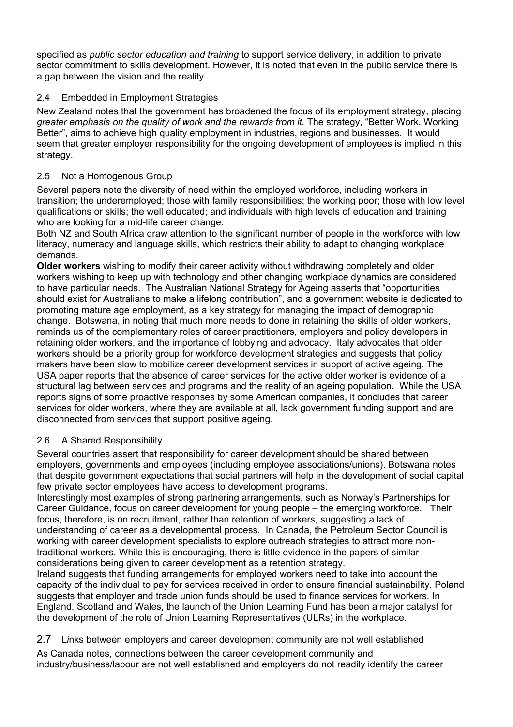specified as *public sector education and training* to support service delivery, in addition to private sector commitment to skills development. However, it is noted that even in the public service there is a gap between the vision and the reality.

# 2.4 Embedded in Employment Strategies

New Zealand notes that the government has broadened the focus of its employment strategy, placing *greater emphasis on the quality of work and the rewards from it.* The strategy, "Better Work, Working Better", aims to achieve high quality employment in industries, regions and businesses. It would seem that greater employer responsibility for the ongoing development of employees is implied in this strategy.

# 2.5 Not a Homogenous Group

Several papers note the diversity of need within the employed workforce, including workers in transition; the underemployed; those with family responsibilities; the working poor; those with low level qualifications or skills; the well educated; and individuals with high levels of education and training who are looking for a mid-life career change.

Both NZ and South Africa draw attention to the significant number of people in the workforce with low literacy, numeracy and language skills, which restricts their ability to adapt to changing workplace demands.

**Older workers** wishing to modify their career activity without withdrawing completely and older workers wishing to keep up with technology and other changing workplace dynamics are considered to have particular needs. The Australian National Strategy for Ageing asserts that "opportunities should exist for Australians to make a lifelong contribution", and a government website is dedicated to promoting mature age employment, as a key strategy for managing the impact of demographic change. Botswana, in noting that much more needs to done in retaining the skills of older workers, reminds us of the complementary roles of career practitioners, employers and policy developers in retaining older workers, and the importance of lobbying and advocacy. Italy advocates that older workers should be a priority group for workforce development strategies and suggests that policy makers have been slow to mobilize career development services in support of active ageing. The USA paper reports that the absence of career services for the active older worker is evidence of a structural lag between services and programs and the reality of an ageing population. While the USA reports signs of some proactive responses by some American companies, it concludes that career services for older workers, where they are available at all, lack government funding support and are disconnected from services that support positive ageing.

# 2.6 A Shared Responsibility

Several countries assert that responsibility for career development should be shared between employers, governments and employees (including employee associations/unions). Botswana notes that despite government expectations that social partners will help in the development of social capital few private sector employees have access to development programs.

Interestingly most examples of strong partnering arrangements, such as Norway's Partnerships for Career Guidance, focus on career development for young people – the emerging workforce. Their focus, therefore, is on recruitment, rather than retention of workers, suggesting a lack of understanding of career as a developmental process. In Canada, the Petroleum Sector Council is working with career development specialists to explore outreach strategies to attract more nontraditional workers. While this is encouraging, there is little evidence in the papers of similar considerations being given to career development as a retention strategy.

Ireland suggests that funding arrangements for employed workers need to take into account the capacity of the individual to pay for services received in order to ensure financial sustainability. Poland suggests that employer and trade union funds should be used to finance services for workers. In England, Scotland and Wales, the launch of the Union Learning Fund has been a major catalyst for the development of the role of Union Learning Representatives (ULRs) in the workplace.

# 2.7 L*i*nks between employers and career development community are not well established

As Canada notes, connections between the career development community and industry/business/labour are not well established and employers do not readily identify the career